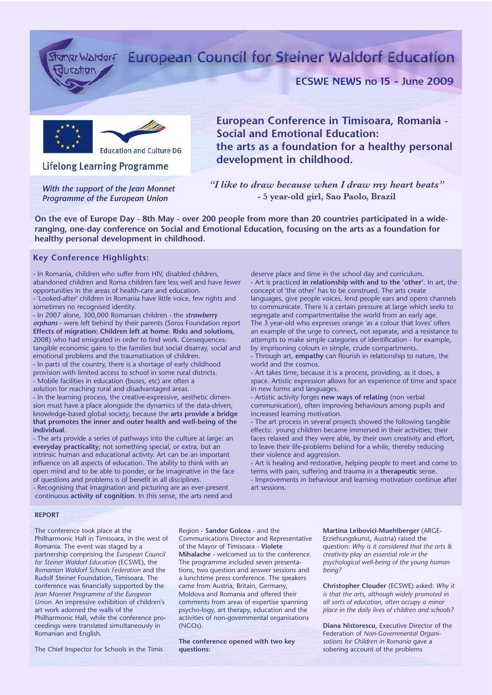ucxtion

# Stanw Waldorf European Council for Steiner Waldorf Education

## ECSWE NEWS no 15 - June 2009



**Lifelong Learning Programme** 

*With the support of the Jean Monnet Programme of the European Union*

**European Conference in Timisoara, Romania - Social and Emotional Education: the arts as a foundation for a healthy personal development in childhood.**

*"I like to draw because when I draw my heart beats"* **- 5 year-old girl, Sao Paolo, Brazil**

**On the eve of Europe Day - 8th May - over 200 people from more than 20 countries participated in a wideranging, one-day conference on Social and Emotional Education, focusing on the arts as a foundation for healthy personal development in childhood.**

### **Key Conference Highlights:**

- In Romania, children who suffer from HIV, disabled children, abandoned children and Roma children fare less well and have fewer opportunities in the areas of health-care and education.

- 'Looked-after' children in Romania have little voice, few rights and sometimes no recognised identity.

- In 2007 alone, 300,000 Romanian children - the *strawberry orphans* - were left behind by their parents (Soros Foundation report **Effects of migration: Children left at home. Risks and solutions**, 2008) who had emigrated in order to find work. Consequences: tangible economic gains to the families but social disarray, social and emotional problems and the traumatisation of children.

- In parts of the country, there is a shortage of early childhood provision with limited access to school in some rural districts. - Mobile facilities in education (buses, etc) are often a solution for reaching rural and disadvantaged areas.

- In the learning process, the creative-expressive, aesthetic dimension must have a place alongside the dynamics of the data-driven, knowledge-based global society, because the **arts provide a bridge that promotes the inner and outer health and well-being of the individual**.

- The arts provide a series of pathways into the culture at large: an **everyday practicality**; not something special, or extra, but an intrinsic human and educational activity. Art can be an important influence on all aspects of education. The ability to think with an open mind and to be able to ponder, or be imaginative in the face of questions and problems is of benefit in all disciplines.

- Recognising that imagination and picturing are an ever-present continuous **activity of cognition**. In this sense, the arts need and deserve place and time in the school day and curriculum. - Art is practiced **in relationship with and to the 'other'**. In art, the concept of 'the other' has to be construed. The arts create languages, give people voices, lend people ears and opens channels to communicate. There is a certain pressure at large which seeks to segregate and compartmentalise the world from an early age. The 3 year-old who expresses orange 'as a colour that loves' offers an example of the urge to connect, not separate, and a resistance to attempts to make simple categories of identification - for example, by imprisoning colours in simple, crude compartments.

- Through art, **empathy** can flourish in relationship to nature, the world and the cosmos.

- Art takes time, because it is a process, providing, as it does, a space. Artistic expression allows for an experience of time and space in new forms and languages.

- Artistic activity forges **new ways of relating** (non verbal communication), often improving behaviours among pupils and increased learning motivation.

- The art process in several projects showed the following tangible effects: young children became immersed in their activities; their faces relaxed and they were able, by their own creativity and effort, to leave their life-problems behind for a while, thereby reducing their violence and aggression.

- Art is healing and restorative, helping people to meet and come to terms with pain, suffering and trauma in a **therapeutic** sense. - Improvements in behaviour and learning motivation continue after art sessions.

#### **REPORT**

The conference took place at the Philharmonic Hall in Timisoara, in the west of Romania. The event was staged by a partnership comprising the *European Council for Steiner Waldorf Education* (ECSWE), the *Romanian Waldorf Schools Federation* and the Rudolf Steiner Foundation, Timisoara. The conference was financially supported by the *Jean Monnet Programme of the European Union*. An impressive exhibition of children's art work adorned the walls of the Philharmonic Hall, while the conference proceedings were translated simultaneously in Romanian and English.

The Chief Inspector for Schools in the Timis

Region - **Sandor Golcea** - and the Communications Director and Representative of the Mayor of Timisoara - **Violete Mihalache** - welcomed us to the conference. The programme included seven presentations, two question and answer sessions and a lunchtime press conference. The speakers came from Austria, Britain, Germany, Moldova and Romania and offered their comments from areas of expertise spanning psycho-logy, art therapy, education and the activities of non-governmental organisations (NGOs).

**The conference opened with two key questions:**

#### **Martina Leibovici-Muehlberger** (ARGE-Erziehungskunst, Austria) raised the question: *Why is it considered that the arts & creativity play an essential role in the psychological well-being of the young human being?*

**Christopher Clouder** (ECSWE) asked: *Why it is that the arts, although widely promoted in all sorts of education, often occupy a minor place in the daily lives of children and schools?*

**Diana Nistorescu**, Executive Director of the Federation of *Non-Governmental Organisations for Children in Romania* gave a sobering account of the problems